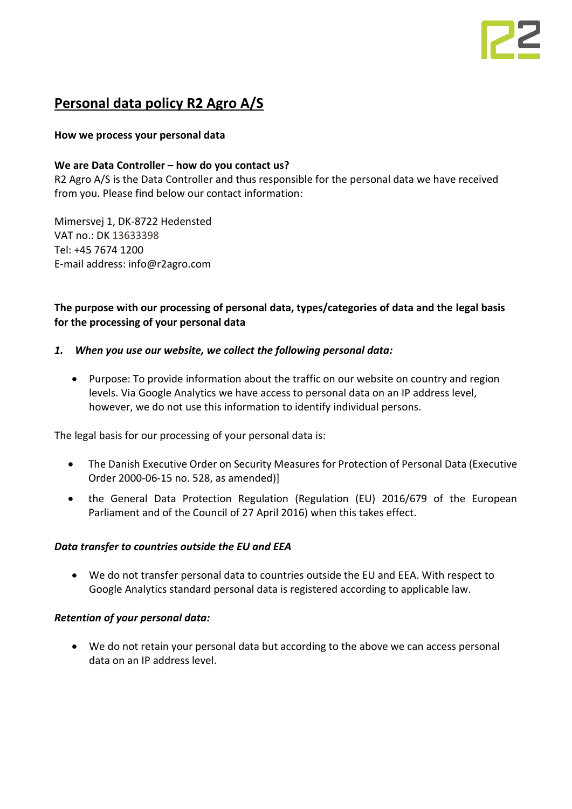# **Personal data policy R2 Agro A/S**

# **How we process your personal data**

# **We are Data Controller – how do you contact us?**

R2 Agro A/S is the Data Controller and thus responsible for the personal data we have received from you. Please find below our contact information:

Mimersvej 1, DK-8722 Hedensted VAT no.: DK 13633398 Tel: +45 7674 1200 E-mail address: info@r2agro.com

# **The purpose with our processing of personal data, types/categories of data and the legal basis for the processing of your personal data**

# *1. When you use our website, we collect the following personal data:*

• Purpose: To provide information about the traffic on our website on country and region levels. Via Google Analytics we have access to personal data on an IP address level, however, we do not use this information to identify individual persons.

The legal basis for our processing of your personal data is:

- The Danish Executive Order on Security Measures for Protection of Personal Data (Executive Order 2000-06-15 no. 528, as amended)]
- the General Data Protection Regulation (Regulation (EU) 2016/679 of the European Parliament and of the Council of 27 April 2016) when this takes effect.

# *Data transfer to countries outside the EU and EEA*

• We do not transfer personal data to countries outside the EU and EEA. With respect to Google Analytics standard personal data is registered according to applicable law.

# *Retention of your personal data:*

• We do not retain your personal data but according to the above we can access personal data on an IP address level.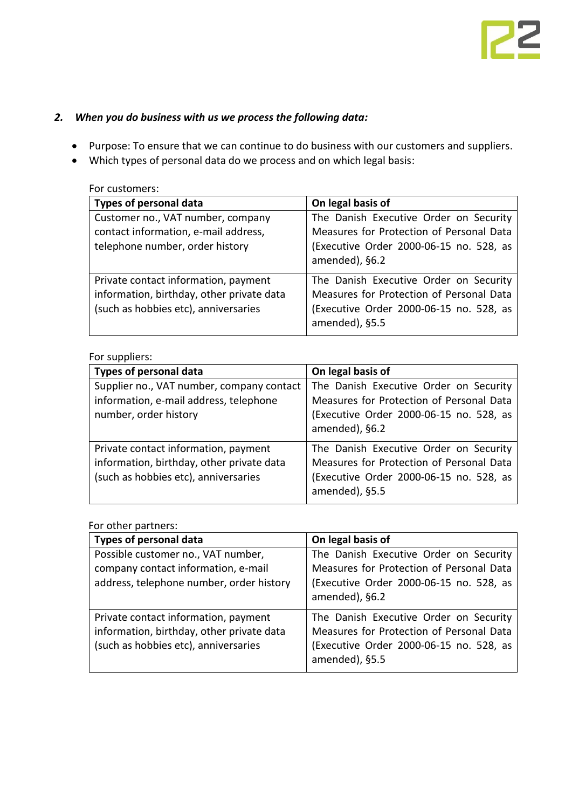# *2. When you do business with us we process the following data:*

- Purpose: To ensure that we can continue to do business with our customers and suppliers.
- Which types of personal data do we process and on which legal basis:

| For customers:                                                                                                            |                                                                                                                                                 |
|---------------------------------------------------------------------------------------------------------------------------|-------------------------------------------------------------------------------------------------------------------------------------------------|
| <b>Types of personal data</b>                                                                                             | On legal basis of                                                                                                                               |
| Customer no., VAT number, company<br>contact information, e-mail address,<br>telephone number, order history              | The Danish Executive Order on Security<br>Measures for Protection of Personal Data<br>(Executive Order 2000-06-15 no. 528, as<br>amended), §6.2 |
| Private contact information, payment<br>information, birthday, other private data<br>(such as hobbies etc), anniversaries | The Danish Executive Order on Security<br>Measures for Protection of Personal Data<br>(Executive Order 2000-06-15 no. 528, as<br>amended), §5.5 |

#### For suppliers:

| <b>Types of personal data</b>                                                                                             | On legal basis of                                                                                                                               |
|---------------------------------------------------------------------------------------------------------------------------|-------------------------------------------------------------------------------------------------------------------------------------------------|
| Supplier no., VAT number, company contact<br>information, e-mail address, telephone<br>number, order history              | The Danish Executive Order on Security<br>Measures for Protection of Personal Data<br>(Executive Order 2000-06-15 no. 528, as<br>amended), §6.2 |
| Private contact information, payment<br>information, birthday, other private data<br>(such as hobbies etc), anniversaries | The Danish Executive Order on Security<br>Measures for Protection of Personal Data<br>(Executive Order 2000-06-15 no. 528, as<br>amended), §5.5 |

For other partners:

| Types of personal data                                                                                                    | On legal basis of                                                                                                                               |
|---------------------------------------------------------------------------------------------------------------------------|-------------------------------------------------------------------------------------------------------------------------------------------------|
| Possible customer no., VAT number,<br>company contact information, e-mail<br>address, telephone number, order history     | The Danish Executive Order on Security<br>Measures for Protection of Personal Data<br>(Executive Order 2000-06-15 no. 528, as<br>amended), §6.2 |
| Private contact information, payment<br>information, birthday, other private data<br>(such as hobbies etc), anniversaries | The Danish Executive Order on Security<br>Measures for Protection of Personal Data<br>(Executive Order 2000-06-15 no. 528, as<br>amended), §5.5 |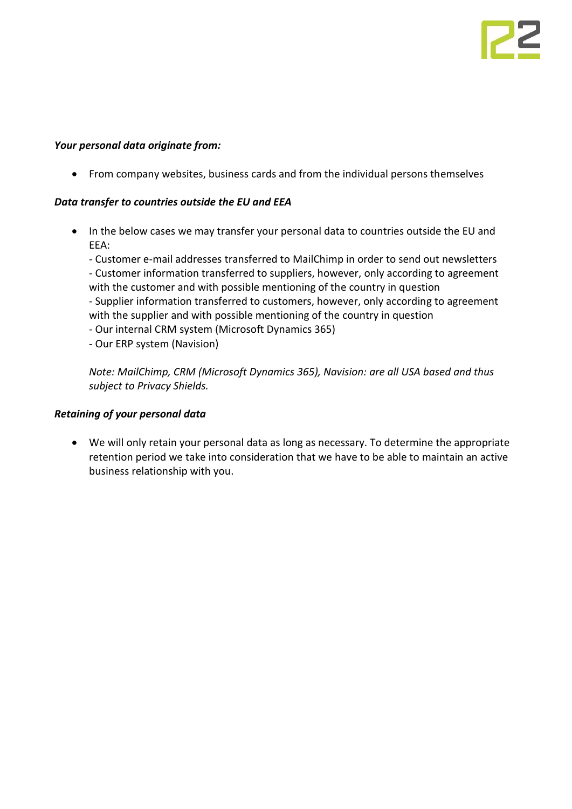### *Your personal data originate from:*

• From company websites, business cards and from the individual persons themselves

### *Data transfer to countries outside the EU and EEA*

• In the below cases we may transfer your personal data to countries outside the EU and EEA:

- Customer e-mail addresses transferred to MailChimp in order to send out newsletters - Customer information transferred to suppliers, however, only according to agreement with the customer and with possible mentioning of the country in question - Supplier information transferred to customers, however, only according to agreement with the supplier and with possible mentioning of the country in question

- Our internal CRM system (Microsoft Dynamics 365)
- Our ERP system (Navision)

*Note: MailChimp, CRM (Microsoft Dynamics 365), Navision: are all USA based and thus subject to Privacy Shields.*

#### *Retaining of your personal data*

• We will only retain your personal data as long as necessary. To determine the appropriate retention period we take into consideration that we have to be able to maintain an active business relationship with you.